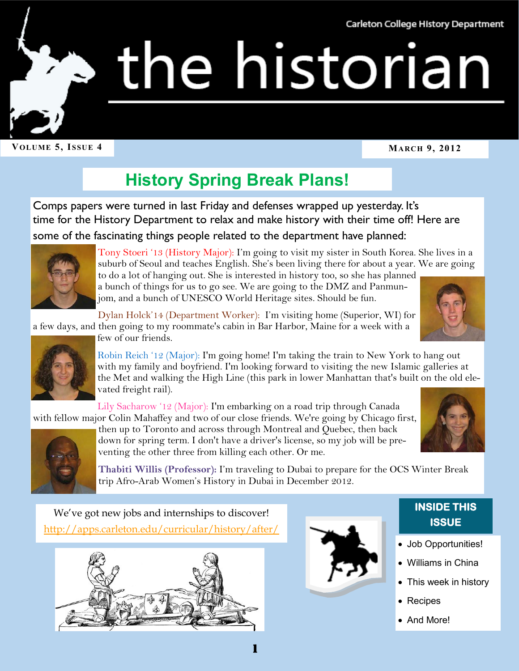Carleton College History Department

#### **VOLUME 5, I SSUE 4 MARCH 9, 2012**

# **History Spring Break Plans!**

Comps papers were turned in last Friday and defenses wrapped up yesterday. It's time for the History Department to relax and make history with their time off! Here are

#### some of the fascinating things people related to the department have planned:



Tony Stoeri '13 (History Major): I'm going to visit my sister in South Korea. She lives in a suburb of Seoul and teaches English. She's been living there for about a year. We are going to do a lot of hanging out. She is interested in history too, so she has planned a bunch of things for us to go see. We are going to the DMZ and Panmunjom, and a bunch of UNESCO World Heritage sites. Should be fun.

the historian

Dylan Holck'14 (Department Worker): I'm visiting home (Superior, WI) for

a few days, and then going to my roommate's cabin in Bar Harbor, Maine for a week with a



few of our friends.

Robin Reich '12 (Major): I'm going home! I'm taking the train to New York to hang out with my family and boyfriend. I'm looking forward to visiting the new Islamic galleries at the Met and walking the High Line (this park in lower Manhattan that's built on the old elevated freight rail).

Lily Sacharow '12 (Major): I'm embarking on a road trip through Canada with fellow major Colin Mahaffey and two of our close friends. We're going by Chicago first,



then up to Toronto and across through Montreal and Quebec, then back down for spring term. I don't have a driver's license, so my job will be preventing the other three from killing each other. Or me.

**Thabiti Willis (Professor):** I'm traveling to Dubai to prepare for the OCS Winter Break trip Afro-Arab Women's History in Dubai in December 2012.

We've got new jobs and internships to discover! <http://apps.carleton.edu/curricular/history/after/>





### **INSIDE THIS ISSUE**

- Job Opportunities!
- Williams in China
- This week in history
- Recipes
- And More!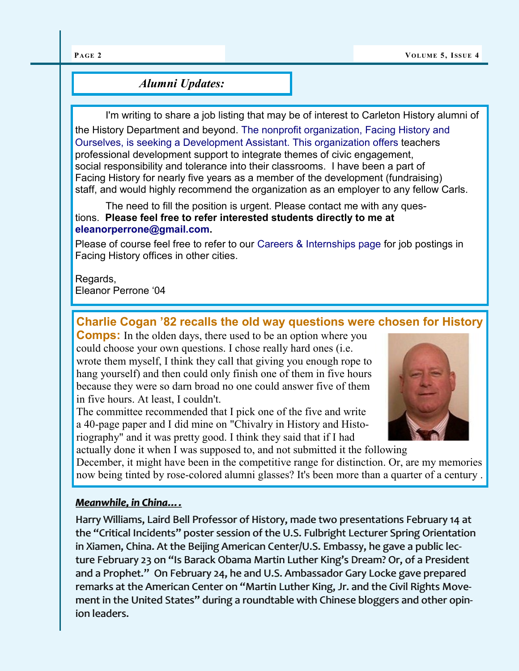#### *Alumni Updates:*

I'm writing to share a job listing that may be of interest to Carleton History alumni of the History Department and beyond. [The nonprofit organization,](http://www2.facinghistory.org/Campus/Jobs.nsf/opencareers/2005E648EB0C76CA852579A00000287B?opendocument) Facing History and Ourselves, [is seeking a De](http://www2.facinghistory.org/Campus/Jobs.nsf/opencareers/2005E648EB0C76CA852579A00000287B?opendocument)velopment Assistant. This organization offers teachers professional development support to integrate themes of civic engagement, social responsibility and tolerance into their classrooms. I have been a part of Facing History for nearly five years as a member of the development (fundraising) staff, and would highly recommend the organization as an employer to any fellow Carls.

The need to fill the position is urgent. Please contact me with any questions. **Please feel free to refer interested students directly to me at [eleanorperrone@](mailto:eleanorperrone@gmail.com)gmail.com.**

Please of course feel free to refer to our [Careers & Internships page](http://www2.facinghistory.org/campus/jobs.nsf/careers?ReadForm) for job postings in Facing History offices in other cities.

Regards, Eleanor Perrone '04

#### **Charlie Cogan '82 recalls the old way questions were chosen for History**

**Comps:** In the olden days, there used to be an option where you could choose your own questions. I chose really hard ones (i.e. wrote them myself, I think they call that giving you enough rope to hang yourself) and then could only finish one of them in five hours because they were so darn broad no one could answer five of them in five hours. At least, I couldn't.

The committee recommended that I pick one of the five and write a 40-page paper and I did mine on "Chivalry in History and Historiography" and it was pretty good. I think they said that if I had



actually done it when I was supposed to, and not submitted it the following December, it might have been in the competitive range for distinction. Or, are my memories now being tinted by rose-colored alumni glasses? It's been more than a quarter of a century .

#### *Meanwhile, in China….*

Harry Williams, Laird Bell Professor of History, made two presentations February 14 at the "Critical Incidents" poster session of the U.S. Fulbright Lecturer Spring Orientation in Xiamen, China. At the Beijing American Center/U.S. Embassy, he gave a public lecture February 23 on "Is Barack Obama Martin Luther King's Dream? Or, of a President and a Prophet." On February 24, he and U.S. Ambassador Gary Locke gave prepared remarks at the American Center on "Martin Luther King, Jr. and the Civil Rights Movement in the United States" during a roundtable with Chinese bloggers and other opinion leaders.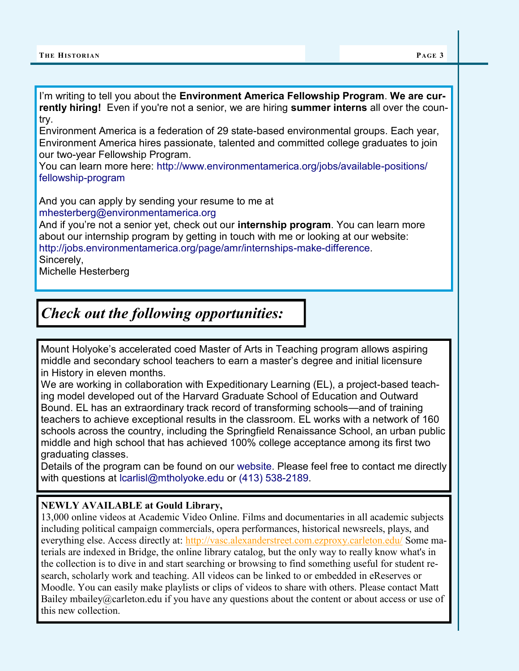I'm writing to tell you about the **Environment America Fellowship Program**. **We are currently hiring!** Even if you're not a senior, we are hiring **summer interns** all over the country.

Environment America is a federation of 29 state-based environmental groups. Each year, Environment America hires passionate, talented and committed college graduates to join our two-year Fellowship Program.

You can learn more here: [http://www.environmentamerica.org/jobs/available](http://www.environmentamerica.org/jobs/available-positions/fellowship-program)-positions/ [fellowship](http://www.environmentamerica.org/jobs/available-positions/fellowship-program)-program

And you can apply by sending your resume to me at

[mhesterberg@environmentamerica.org](mailto:mhesterberg@environmentamerica.org)

And if you're not a senior yet, check out our **internship program**. You can learn more about our internship program by getting in touch with me or looking at our website: [http://jobs.environmentamerica.org/page/amr/internships](http://jobs.environmentamerica.org/page/amr/internships-make-difference)-make-difference. Sincerely,

Michelle Hesterberg

# *Check out the following opportunities:*

Mount Holyoke's accelerated coed Master of Arts in Teaching program allows aspiring middle and secondary school teachers to earn a master's degree and initial licensure in History in eleven months.

We are working in collaboration with Expeditionary Learning (EL), a project-based teaching model developed out of the Harvard Graduate School of Education and Outward Bound. EL has an extraordinary track record of transforming schools—and of training teachers to achieve exceptional results in the classroom. EL works with a network of 160 schools across the country, including the Springfield Renaissance School, an urban public middle and high school that has achieved 100% college acceptance among its first two graduating classes.

Details of the program can be found on our [website.](http://clicks.gotoextinguisher.com/trkr/?c=2033&g=2752&u=f491da998885b37b05516e9e3f2ebd34&p=4d6e09e61b8610dcf8f248274dc41369&t=1) Please feel free to contact me directly with questions at lcarlisl@mtholyoke.edu or [\(413\) 538](callto:(413)%20538-2189)-2189.

#### **NEWLY AVAILABLE at Gould Library,**

13,000 online videos at Academic Video Online. Films and documentaries in all academic subjects including political campaign commercials, opera performances, historical newsreels, plays, and everything else. Access directly at: <http://vasc.alexanderstreet.com.ezproxy.carleton.edu/> Some materials are indexed in Bridge, the online library catalog, but the only way to really know what's in the collection is to dive in and start searching or browsing to find something useful for student research, scholarly work and teaching. All videos can be linked to or embedded in eReserves or Moodle. You can easily make playlists or clips of videos to share with others. Please contact Matt Bailey mbailey@carleton.edu if you have any questions about the content or about access or use of this new collection.